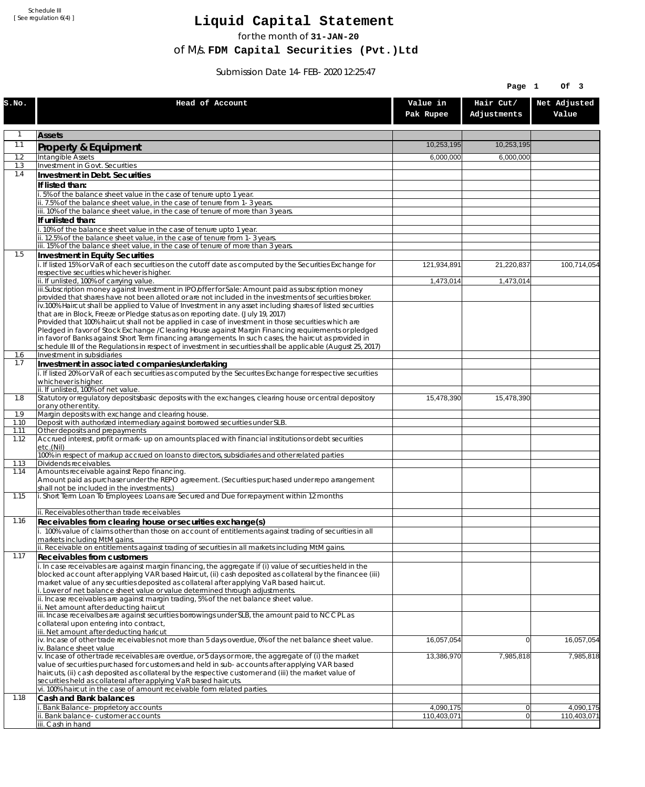Schedule III [ See regulation 6(4) ]

## **Liquid Capital Statement**

for the month of **31-JAN-20**

of M/s. **FDM Capital Securities (Pvt.)Ltd**

Submission Date 14-FEB-2020 12:25:47

|              |                                                                                                                                                                                                                        |                       | Page 1                   | Of 3                  |
|--------------|------------------------------------------------------------------------------------------------------------------------------------------------------------------------------------------------------------------------|-----------------------|--------------------------|-----------------------|
| S.NO.        | Head of Account                                                                                                                                                                                                        | Value in<br>Pak Rupee | Hair Cut/<br>Adjustments | Net Adjusted<br>Value |
| 1            | <b>Assets</b>                                                                                                                                                                                                          |                       |                          |                       |
| 1.1          | Property & Equipment                                                                                                                                                                                                   | 10,253,195            | 10,253,195               |                       |
| 1.2          | Intangible Assets                                                                                                                                                                                                      | 6,000,000             | 6,000,000                |                       |
| 1.3<br>1.4   | Investment in Govt. Securities<br>Investment in Debt. Securities                                                                                                                                                       |                       |                          |                       |
|              | If listed than:                                                                                                                                                                                                        |                       |                          |                       |
|              | i. 5% of the balance sheet value in the case of tenure upto 1 year.                                                                                                                                                    |                       |                          |                       |
|              | ii. 7.5% of the balance sheet value, in the case of tenure from 1-3 years.<br>iii. 10% of the balance sheet value, in the case of tenure of more than 3 years.                                                         |                       |                          |                       |
|              | If unlisted than:                                                                                                                                                                                                      |                       |                          |                       |
|              | i. 10% of the balance sheet value in the case of tenure upto 1 year.                                                                                                                                                   |                       |                          |                       |
|              | ii. 12.5% of the balance sheet value, in the case of tenure from 1-3 years.<br>iii. 15% of the balance sheet value, in the case of tenure of more than 3 years.                                                        |                       |                          |                       |
| 1.5          | Investment in Equity Securities                                                                                                                                                                                        |                       |                          |                       |
|              | i. If listed 15% or VaR of each securities on the cutoff date as computed by the Securities Exchange for                                                                                                               | 121,934,891           | 21,220,837               | 100,714,054           |
|              | respective securities whichever is higher.                                                                                                                                                                             |                       |                          |                       |
|              | ii. If unlisted, 100% of carrying value.<br>iii.Subscription money against Investment in IPO/offer for Sale: Amount paid as subscription money                                                                         | 1,473,014             | 1,473,014                |                       |
|              | provided that shares have not been alloted or are not included in the investments of securities broker.                                                                                                                |                       |                          |                       |
|              | iv.100% Haircut shall be applied to Value of Investment in any asset including shares of listed securities<br>that are in Block, Freeze or Pledge status as on reporting date. (July 19, 2017)                         |                       |                          |                       |
|              | Provided that 100% haircut shall not be applied in case of investment in those securities which are                                                                                                                    |                       |                          |                       |
|              | Pledged in favor of Stock Exchange / Clearing House against Margin Financing requirements or pledged                                                                                                                   |                       |                          |                       |
|              | in favor of Banks against Short Term financing arrangements. In such cases, the haircut as provided in<br>schedule III of the Regulations in respect of investment in securities shall be applicable (August 25, 2017) |                       |                          |                       |
| 1.6          | Investment in subsidiaries                                                                                                                                                                                             |                       |                          |                       |
| 1.7          | Investment in associated companies/undertaking                                                                                                                                                                         |                       |                          |                       |
|              | i. If listed 20% or VaR of each securities as computed by the Securites Exchange for respective securities<br>whichever is higher.                                                                                     |                       |                          |                       |
|              | ii. If unlisted, 100% of net value.                                                                                                                                                                                    |                       |                          |                       |
| 1.8          | Statutory or regulatory deposits/basic deposits with the exchanges, clearing house or central depository<br>or any other entity.                                                                                       | 15,478,390            | 15,478,390               |                       |
| 1.9          | Margin deposits with exchange and clearing house.                                                                                                                                                                      |                       |                          |                       |
| 1.10         | Deposit with authorized intermediary against borrowed securities under SLB.                                                                                                                                            |                       |                          |                       |
| 1.11<br>1.12 | Other deposits and prepayments<br>Accrued interest, profit or mark-up on amounts placed with financial institutions or debt securities                                                                                 |                       |                          |                       |
|              | etc.(Nil)                                                                                                                                                                                                              |                       |                          |                       |
| 1.13         | 100% in respect of markup accrued on loans to directors, subsidiaries and other related parties<br>Dividends receivables.                                                                                              |                       |                          |                       |
| 1.14         | Amounts receivable against Repo financing.                                                                                                                                                                             |                       |                          |                       |
|              | Amount paid as purchaser under the REPO agreement. (Securities purchased under repo arrangement                                                                                                                        |                       |                          |                       |
| 1.15         | shall not be included in the investments.)<br>i. Short Term Loan To Employees: Loans are Secured and Due for repayment within 12 months                                                                                |                       |                          |                       |
|              |                                                                                                                                                                                                                        |                       |                          |                       |
| 1.16         | ii. Receivables other than trade receivables<br>Receivables from clearing house or securities exchange(s)                                                                                                              |                       |                          |                       |
|              | i. 100% value of claims other than those on account of entitlements against trading of securities in all                                                                                                               |                       |                          |                       |
|              | markets including MtM gains.                                                                                                                                                                                           |                       |                          |                       |
| 1.17         | ii. Receivable on entitlements against trading of securities in all markets including MtM gains.<br><b>Receivables from customers</b>                                                                                  |                       |                          |                       |
|              | i. In case receivables are against margin financing, the aggregate if (i) value of securities held in the                                                                                                              |                       |                          |                       |
|              | blocked account after applying VAR based Haircut, (ii) cash deposited as collateral by the financee (iii)                                                                                                              |                       |                          |                       |
|              | market value of any securities deposited as collateral after applying VaR based haircut.<br>i. Lower of net balance sheet value or value determined through adjustments.                                               |                       |                          |                       |
|              | ii. Incase receivables are against margin trading, 5% of the net balance sheet value.                                                                                                                                  |                       |                          |                       |
|              | ii. Net amount after deducting haircut<br>iii. Incase receivalbes are against securities borrowings under SLB, the amount paid to NCCPL as                                                                             |                       |                          |                       |
|              | collateral upon entering into contract,                                                                                                                                                                                |                       |                          |                       |
|              | iii. Net amount after deducting haricut                                                                                                                                                                                |                       |                          |                       |
|              | $iv.$ Incase of other trade receivables not more than 5 days overdue, 0% of the net balance sheet value.<br>iv. Balance sheet value                                                                                    | 16,057,054            | $\overline{0}$           | 16,057,054            |
|              | v. Incase of other trade receivables are overdue, or 5 days or more, the aggregate of (i) the market                                                                                                                   | 13,386,970            | 7,985,818                | 7,985,818             |
|              | value of securities purchased for customers and held in sub-accounts after applying VAR based<br>haircuts, (ii) cash deposited as collateral by the respective customer and (iii) the market value of                  |                       |                          |                       |
|              | securities held as collateral after applying VaR based haircuts.                                                                                                                                                       |                       |                          |                       |
|              | vi. 100% haircut in the case of amount receivable form related parties.                                                                                                                                                |                       |                          |                       |
| 1.18         | Cash and Bank balances<br>i. Bank Balance-proprietory accounts                                                                                                                                                         | 4,090,175             | 0                        | 4,090,175             |
|              | ii. Bank balance-customer accounts                                                                                                                                                                                     | 110,403,071           | 0                        | 110,403,071           |
|              | iii. Cash in hand                                                                                                                                                                                                      |                       |                          |                       |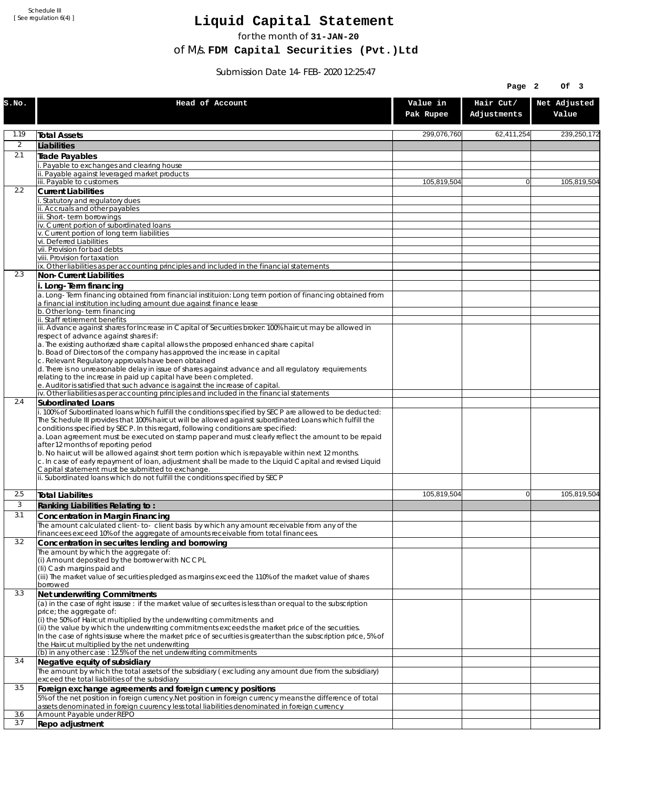Schedule III [ See regulation 6(4) ]

## **Liquid Capital Statement**

for the month of **31-JAN-20**

of M/s. **FDM Capital Securities (Pvt.)Ltd**

Submission Date 14-FEB-2020 12:25:47

|                |                                                                                                                                                                                                                                                                                                                                                                                                                                                                                                                                                                                                                                                                                                                             |                       | Page 2                   | Of 3                  |
|----------------|-----------------------------------------------------------------------------------------------------------------------------------------------------------------------------------------------------------------------------------------------------------------------------------------------------------------------------------------------------------------------------------------------------------------------------------------------------------------------------------------------------------------------------------------------------------------------------------------------------------------------------------------------------------------------------------------------------------------------------|-----------------------|--------------------------|-----------------------|
| S.NO.          | Head of Account                                                                                                                                                                                                                                                                                                                                                                                                                                                                                                                                                                                                                                                                                                             | Value in<br>Pak Rupee | Hair Cut/<br>Adjustments | Net Adjusted<br>Value |
| 1.19           | <b>Total Assets</b>                                                                                                                                                                                                                                                                                                                                                                                                                                                                                                                                                                                                                                                                                                         | 299,076,760           | 62,411,254               | 239,250,172           |
| $\overline{2}$ | Liabilities                                                                                                                                                                                                                                                                                                                                                                                                                                                                                                                                                                                                                                                                                                                 |                       |                          |                       |
| 2.1            | Trade Payables                                                                                                                                                                                                                                                                                                                                                                                                                                                                                                                                                                                                                                                                                                              |                       |                          |                       |
|                | Payable to exchanges and clearing house                                                                                                                                                                                                                                                                                                                                                                                                                                                                                                                                                                                                                                                                                     |                       |                          |                       |
|                | . Payable against leveraged market products<br>iii. Payable to customers                                                                                                                                                                                                                                                                                                                                                                                                                                                                                                                                                                                                                                                    | 105,819,504           | $\overline{0}$           | 105,819,504           |
| 2.2            | <b>Current Liabilities</b>                                                                                                                                                                                                                                                                                                                                                                                                                                                                                                                                                                                                                                                                                                  |                       |                          |                       |
|                | Statutory and regulatory dues                                                                                                                                                                                                                                                                                                                                                                                                                                                                                                                                                                                                                                                                                               |                       |                          |                       |
|                | ii. Accruals and other payables<br>ii. Short-term borrowings                                                                                                                                                                                                                                                                                                                                                                                                                                                                                                                                                                                                                                                                |                       |                          |                       |
|                | iv. Current portion of subordinated loans                                                                                                                                                                                                                                                                                                                                                                                                                                                                                                                                                                                                                                                                                   |                       |                          |                       |
|                | v. Current portion of long term liabilities<br>vi. Deferred Liabilities                                                                                                                                                                                                                                                                                                                                                                                                                                                                                                                                                                                                                                                     |                       |                          |                       |
|                | vii. Provision for bad debts                                                                                                                                                                                                                                                                                                                                                                                                                                                                                                                                                                                                                                                                                                |                       |                          |                       |
|                | viii. Provision for taxation                                                                                                                                                                                                                                                                                                                                                                                                                                                                                                                                                                                                                                                                                                |                       |                          |                       |
| 2.3            | ix. Other liabilities as per accounting principles and included in the financial statements                                                                                                                                                                                                                                                                                                                                                                                                                                                                                                                                                                                                                                 |                       |                          |                       |
|                | Non-Current Liabilities<br>i. Long-Term financing                                                                                                                                                                                                                                                                                                                                                                                                                                                                                                                                                                                                                                                                           |                       |                          |                       |
|                | a. Long-Term financing obtained from financial instituion: Long term portion of financing obtained from<br>a financial institution including amount due against finance lease                                                                                                                                                                                                                                                                                                                                                                                                                                                                                                                                               |                       |                          |                       |
|                | b. Other long-term financing<br>ii. Staff retirement benefits                                                                                                                                                                                                                                                                                                                                                                                                                                                                                                                                                                                                                                                               |                       |                          |                       |
|                | iii. Advance against shares for Increase in Capital of Securities broker: 100% haircut may be allowed in                                                                                                                                                                                                                                                                                                                                                                                                                                                                                                                                                                                                                    |                       |                          |                       |
|                | respect of advance against shares if:                                                                                                                                                                                                                                                                                                                                                                                                                                                                                                                                                                                                                                                                                       |                       |                          |                       |
|                | a. The existing authorized share capital allows the proposed enhanced share capital<br>b. Boad of Directors of the company has approved the increase in capital<br>c. Relevant Regulatory approvals have been obtained                                                                                                                                                                                                                                                                                                                                                                                                                                                                                                      |                       |                          |                       |
|                | d. There is no unreasonable delay in issue of shares against advance and all regulatory requirements<br>relating to the increase in paid up capital have been completed.                                                                                                                                                                                                                                                                                                                                                                                                                                                                                                                                                    |                       |                          |                       |
|                | e. Auditor is satisfied that such advance is against the increase of capital.<br>iv. Other liabilities as per accounting principles and included in the financial statements                                                                                                                                                                                                                                                                                                                                                                                                                                                                                                                                                |                       |                          |                       |
| 2.4            | Subordinated Loans                                                                                                                                                                                                                                                                                                                                                                                                                                                                                                                                                                                                                                                                                                          |                       |                          |                       |
|                | . 100% of Subordinated loans which fulfill the conditions specified by SECP are allowed to be deducted:<br>The Schedule III provides that 100% haircut will be allowed against subordinated Loans which fulfill the<br>conditions specified by SECP. In this regard, following conditions are specified:<br>a. Loan agreement must be executed on stamp paper and must clearly reflect the amount to be repaid<br>after 12 months of reporting period<br>b. No haircut will be allowed against short term portion which is repayable within next 12 months.<br>c. In case of early repayment of loan, adjustment shall be made to the Liquid Capital and revised Liquid<br>Capital statement must be submitted to exchange. |                       |                          |                       |
|                | ii. Subordinated loans which do not fulfill the conditions specified by SECP                                                                                                                                                                                                                                                                                                                                                                                                                                                                                                                                                                                                                                                |                       |                          |                       |
| 2.5            | <b>Total Liabilites</b>                                                                                                                                                                                                                                                                                                                                                                                                                                                                                                                                                                                                                                                                                                     | 105.819.504           | $\mathbf{0}$             | 105,819,504           |
| 3              | Ranking Liabilities Relating to:                                                                                                                                                                                                                                                                                                                                                                                                                                                                                                                                                                                                                                                                                            |                       |                          |                       |
| 3.1            | Concentration in Margin Financing                                                                                                                                                                                                                                                                                                                                                                                                                                                                                                                                                                                                                                                                                           |                       |                          |                       |
|                | The amount calculated client-to- client basis by which any amount receivable from any of the<br>financees exceed 10% of the aggregate of amounts receivable from total financees.                                                                                                                                                                                                                                                                                                                                                                                                                                                                                                                                           |                       |                          |                       |
| 3.2            | Concentration in securites lending and borrowing                                                                                                                                                                                                                                                                                                                                                                                                                                                                                                                                                                                                                                                                            |                       |                          |                       |
|                | The amount by which the aggregate of:                                                                                                                                                                                                                                                                                                                                                                                                                                                                                                                                                                                                                                                                                       |                       |                          |                       |
|                | (i) Amount deposited by the borrower with NCCPL<br>(Ii) Cash margins paid and                                                                                                                                                                                                                                                                                                                                                                                                                                                                                                                                                                                                                                               |                       |                          |                       |
|                | (iii) The market value of securities pledged as margins exceed the 110% of the market value of shares                                                                                                                                                                                                                                                                                                                                                                                                                                                                                                                                                                                                                       |                       |                          |                       |
| 3.3            | borrowed<br>Net underwriting Commitments                                                                                                                                                                                                                                                                                                                                                                                                                                                                                                                                                                                                                                                                                    |                       |                          |                       |
|                | (a) in the case of right issuse: if the market value of securites is less than or equal to the subscription                                                                                                                                                                                                                                                                                                                                                                                                                                                                                                                                                                                                                 |                       |                          |                       |
|                | price; the aggregate of:                                                                                                                                                                                                                                                                                                                                                                                                                                                                                                                                                                                                                                                                                                    |                       |                          |                       |
|                | (i) the 50% of Haircut multiplied by the underwriting commitments and<br>(ii) the value by which the underwriting commitments exceeds the market price of the securities.<br>In the case of rights issuse where the market price of securities is greater than the subscription price, 5% of                                                                                                                                                                                                                                                                                                                                                                                                                                |                       |                          |                       |
|                | the Haircut multiplied by the net underwriting<br>(b) in any other case: 12.5% of the net underwriting commitments                                                                                                                                                                                                                                                                                                                                                                                                                                                                                                                                                                                                          |                       |                          |                       |
| 3.4            | Negative equity of subsidiary                                                                                                                                                                                                                                                                                                                                                                                                                                                                                                                                                                                                                                                                                               |                       |                          |                       |
|                | The amount by which the total assets of the subsidiary (excluding any amount due from the subsidiary)<br>exceed the total liabilities of the subsidiary                                                                                                                                                                                                                                                                                                                                                                                                                                                                                                                                                                     |                       |                          |                       |
| 3.5            | Foreign exchange agreements and foreign currency positions<br>5% of the net position in foreign currency. Net position in foreign currency means the difference of total                                                                                                                                                                                                                                                                                                                                                                                                                                                                                                                                                    |                       |                          |                       |
| 3.6            | assets denominated in foreign cuurency less total liabilities denominated in foreign currency<br>Amount Payable under REPO                                                                                                                                                                                                                                                                                                                                                                                                                                                                                                                                                                                                  |                       |                          |                       |
| 3.7            | Repo adjustment                                                                                                                                                                                                                                                                                                                                                                                                                                                                                                                                                                                                                                                                                                             |                       |                          |                       |
|                |                                                                                                                                                                                                                                                                                                                                                                                                                                                                                                                                                                                                                                                                                                                             |                       |                          |                       |